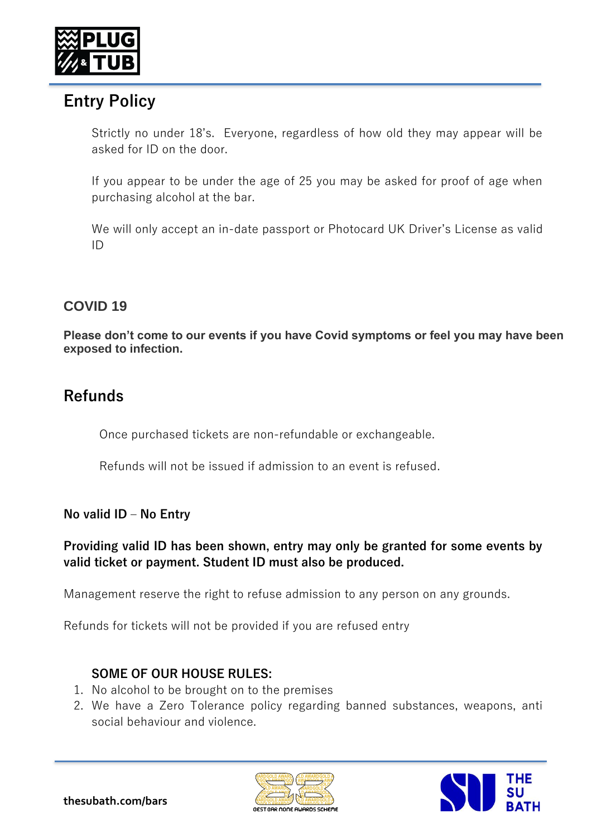

# **Entry Policy**

Strictly no under 18's. Everyone, regardless of how old they may appear will be asked for ID on the door.

If you appear to be under the age of 25 you may be asked for proof of age when purchasing alcohol at the bar.

We will only accept an in-date passport or Photocard UK Driver's License as valid ID

### **COVID 19**

**Please don't come to our events if you have Covid symptoms or feel you may have been exposed to infection.**

## **Refunds**

Once purchased tickets are non-refundable or exchangeable.

Refunds will not be issued if admission to an event is refused.

#### **No valid ID – No Entry**

#### **Providing valid ID has been shown, entry may only be granted for some events by valid ticket or payment. Student ID must also be produced.**

Management reserve the right to refuse admission to any person on any grounds.

Refunds for tickets will not be provided if you are refused entry

#### **SOME OF OUR HOUSE RULES:**

- 1. No alcohol to be brought on to the premises
- 2. We have a Zero Tolerance policy regarding banned substances, weapons, anti social behaviour and violence.